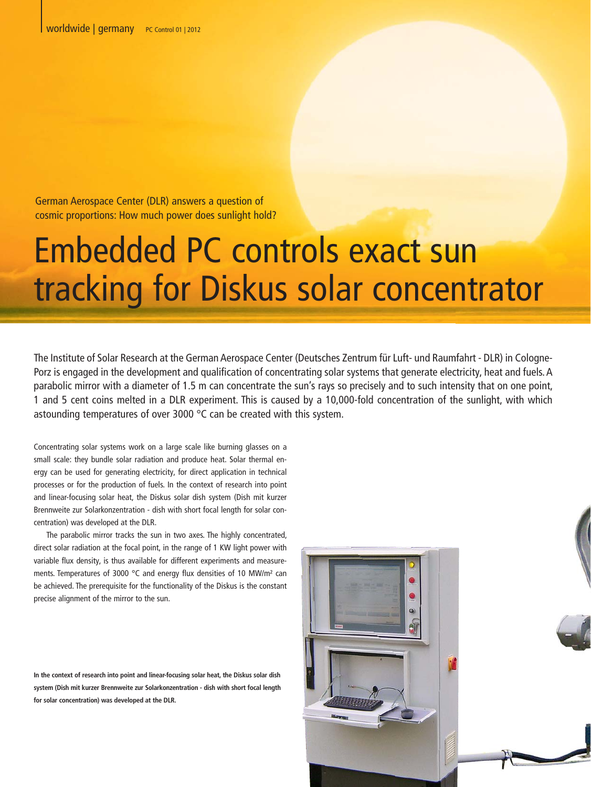German Aerospace Center (DLR) answers a question of cosmic proportions: How much power does sunlight hold?

## Embedded PC controls exact Sun<br>tracking for Diskus solar concentration for the Institute of Solar Research at the German Aerospace Center (Deutsches Zentrum für Luft- und Raumfahrt - DLR) in Cologne<br>Porz is engaged in the tracking for Diskus solar concentrator

The Institute of Solar Research at the German Aerospace Center (Deutsches Zentrum für Luft- und Raumfahrt - DLR) in Cologne-Porz is engaged in the development and qualification of concentrating solar systems that generate electricity, heat and fuels. A parabolic mirror with a diameter of 1.5 m can concentrate the sun's rays so precisely and to such intensity that on one point, 1 and 5 cent coins melted in a DLR experiment. This is caused by a 10,000-fold concentration of the sunlight, with which astounding temperatures of over 3000 °C can be created with this system.

Concentrating solar systems work on a large scale like burning glasses on a small scale: they bundle solar radiation and produce heat. Solar thermal energy can be used for generating electricity, for direct application in technical processes or for the production of fuels. In the context of research into point and linear-focusing solar heat, the Diskus solar dish system (Dish mit kurzer Brennweite zur Solarkonzentration - dish with short focal length for solar concentration) was developed at the DLR.

The parabolic mirror tracks the sun in two axes. The highly concentrated, direct solar radiation at the focal point, in the range of 1 KW light power with variable flux density, is thus available for different experiments and measurements. Temperatures of 3000 °C and energy flux densities of 10 MW/m² can be achieved. The prerequisite for the functionality of the Diskus is the constant precise alignment of the mirror to the sun.

**In the context of research into point and linear-focusing solar heat, the Diskus solar dish system (Dish mit kurzer Brennweite zur Solarkonzentration - dish with short focal length for solar concentration) was developed at the DLR.**